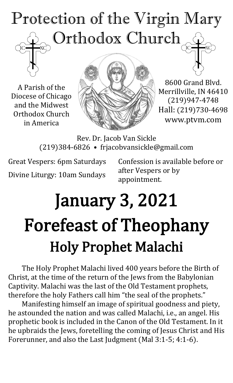# Protection of the Virgin Mary Orthodox Church

A Parish of the Diocese of Chicago and the Midwest Orthodox Church in America



8600 Grand Blvd. Merrillville, IN 46410 (219)947-4748 Hall: (219)730-4698 www.ptvm.com

Rev. Dr. Jacob Van Sickle (219)384-6826 • frjacobvansickle@gmail.com

Great Vespers: 6pm Saturdays Divine Liturgy: 10am Sundays Confession is available before or after Vespers or by appointment.

# January 3, 2021 Forefeast of Theophany Holy Prophet Malachi

The Holy Prophet Malachi lived 400 years before the Birth of Christ, at the time of the return of the Jews from the Babylonian Captivity. Malachi was the last of the Old Testament prophets, therefore the holy Fathers call him "the seal of the prophets."

Manifesting himself an image of spiritual goodness and piety, he astounded the nation and was called Malachi, i.e., an angel. His prophetic book is included in the Canon of the Old Testament. In it he upbraids the Jews, foretelling the coming of Jesus Christ and His Forerunner, and also the Last Judgment (Mal 3:1-5; 4:1-6).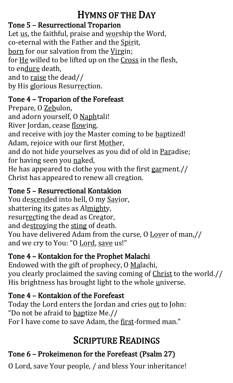# HYMNS OF THE DAY

#### Tone 5 – Resurrectional Troparion

Let us, the faithful, praise and worship the Word, co-eternal with the Father and the Spirit, born for our salvation from the Virgin; for He willed to be lifted up on the Cross in the flesh, to endure death, and to raise the dead// by His glorious Resurrection.

#### Tone 4 – Troparion of the Forefeast

Prepare, O Zebulon, and adorn yourself, O Naphtali! River Jordan, cease flowing, and receive with joy the Master coming to be baptized! Adam, rejoice with our first Mother, and do not hide yourselves as you did of old in Paradise; for having seen you naked, He has appeared to clothe you with the first garment.// Christ has appeared to renew all creation.

#### Tone 5 – Resurrectional Kontakion

You descended into hell, O my Savior, shattering its gates as Almighty, resurrecting the dead as Creator, and destroying the sting of death. You have delivered Adam from the curse, O Lover of man,// and we cry to You: "O Lord, save us!"

#### Tone 4 – Kontakion for the Prophet Malachi

Endowed with the gift of prophecy, O Malachi, you clearly proclaimed the saving coming of Christ to the world.// His brightness has brought light to the whole universe.

#### Tone 4 – Kontakion of the Forefeast

Today the Lord enters the Jordan and cries out to John: "Do not be afraid to baptize Me.// For I have come to save Adam, the first-formed man."

# SCRIPTURE READINGS

## Tone 6 – Prokeimenon for the Forefeast (Psalm 27)

O Lord, save Your people, / and bless Your inheritance!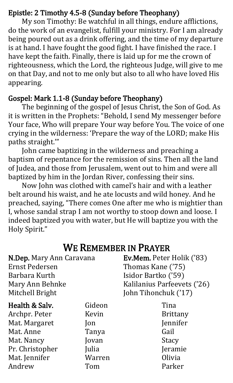#### Epistle: 2 Timothy 4.5-8 (Sunday before Theophany)

My son Timothy: Be watchful in all things, endure afflictions, do the work of an evangelist, fulfill your ministry. For I am already being poured out as a drink offering, and the time of my departure is at hand. I have fought the good fight. I have finished the race. I have kept the faith. Finally, there is laid up for me the crown of righteousness, which the Lord, the righteous Judge, will give to me on that Day, and not to me only but also to all who have loved His appearing.

#### Gospel: Mark 1.1-8 (Sunday before Theophany)

The beginning of the gospel of Jesus Christ, the Son of God. As it is written in the Prophets: "Behold, I send My messenger before Your face, Who will prepare Your way before You. The voice of one crying in the wilderness: 'Prepare the way of the LORD; make His paths straight.'"

John came baptizing in the wilderness and preaching a baptism of repentance for the remission of sins. Then all the land of Judea, and those from Jerusalem, went out to him and were all baptized by him in the Jordan River, confessing their sins.

Now John was clothed with camel's hair and with a leather belt around his waist, and he ate locusts and wild honey. And he preached, saying, "There comes One after me who is mightier than I, whose sandal strap I am not worthy to stoop down and loose. I indeed baptized you with water, but He will baptize you with the Holy Spirit."

### WE REMEMBER IN PRAYER

| N.Dep. Mary Ann Caravana             |                | Ev.Mem. Peter Holik ('83)   |  |
|--------------------------------------|----------------|-----------------------------|--|
| <b>Ernst Pedersen</b>                |                | Thomas Kane ('75)           |  |
| Barbara Kurth                        |                | Isidor Bartko ('59)         |  |
| Mary Ann Behnke                      |                | Kalilanius Parfeevets ('26) |  |
| Mitchell Bright                      |                | John Tihonchuk ('17)        |  |
| Health & Salv.                       | Gideon         | Tina                        |  |
| Archpr. Peter                        | Kevin          | <b>Brittany</b>             |  |
| Mat. Margaret                        | Jon            | Jennifer                    |  |
| $M_{\Omega}$ + $\Lambda$ pp $\Omega$ | $T_{\alpha N}$ | $C_{\alpha}$ :1             |  |

Mat. Anne Mat. Nancy Pr. Christopher Mat. Jennifer Andrew

Tanya Jovan Julia Warren Tom

**Gall** Stacy Jeramie Olivia Parker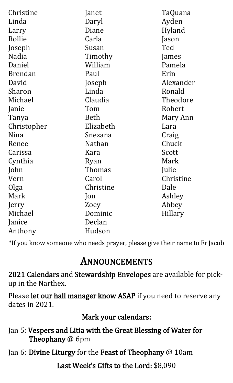| Christine      | Janet         | TaQuana   |
|----------------|---------------|-----------|
| Linda          | Daryl         | Ayden     |
| Larry          | Diane         | Hyland    |
| Rollie         | Carla         | Jason     |
| Joseph         | Susan         | Ted       |
| Nadia          | Timothy       | James     |
| Daniel         | William       | Pamela    |
| <b>Brendan</b> | Paul          | Erin      |
| David          | Joseph        | Alexander |
| Sharon         | Linda         | Ronald    |
| Michael        | Claudia       | Theodore  |
| Janie          | Tom           | Robert    |
| Tanya          | Beth          | Mary Ann  |
| Christopher    | Elizabeth     | Lara      |
| Nina           | Snezana       | Craig     |
| Renee          | Nathan        | Chuck     |
| Carissa        | Kara          | Scott     |
| Cynthia        | Ryan          | Mark      |
| John           | <b>Thomas</b> | Julie     |
| Vern           | Carol         | Christine |
| Olga           | Christine     | Dale      |
| Mark           | Jon           | Ashley    |
| Jerry          | Zoey          | Abbey     |
| Michael        | Dominic       | Hillary   |
| Janice         | Declan        |           |
| Anthony        | Hudson        |           |

\*If you know someone who needs prayer, please give their name to Fr Jacob

### ANNOUNCEMENTS

2021 Calendars and Stewardship Envelopes are available for pickup in the Narthex.

Please let our hall manager know ASAP if you need to reserve any dates in 2021.

Mark your calendars:

- Jan 5: Vespers and Litia with the Great Blessing of Water for Theophany @ 6pm
- Jan 6: Divine Liturgy for the Feast of Theophany @ 10am

Last Week's Gifts to the Lord: \$8,090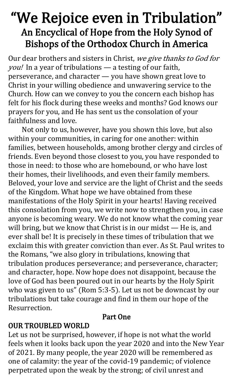# "We Rejoice even in Tribulation" An Encyclical of Hope from the Holy Synod of Bishops of the Orthodox Church in America

Our dear brothers and sisters in Christ, we give thanks to God for you! In a year of tribulations — a testing of our faith, perseverance, and character — you have shown great love to Christ in your willing obedience and unwavering service to the Church. How can we convey to you the concern each bishop has felt for his flock during these weeks and months? God knows our prayers for you, and He has sent us the consolation of your faithfulness and love.

Not only to us, however, have you shown this love, but also within your communities, in caring for one another: within families, between households, among brother clergy and circles of friends. Even beyond those closest to you, you have responded to those in need: to those who are homebound, or who have lost their homes, their livelihoods, and even their family members. Beloved, your love and service are the light of Christ and the seeds of the Kingdom. What hope we have obtained from these manifestations of the Holy Spirit in your hearts! Having received this consolation from you, we write now to strengthen you, in case anyone is becoming weary. We do not know what the coming year will bring, but we know that Christ is in our midst — He is, and ever shall be! It is precisely in these times of tribulation that we exclaim this with greater conviction than ever. As St. Paul writes to the Romans, "we also glory in tribulations, knowing that tribulation produces perseverance; and perseverance, character; and character, hope. Now hope does not disappoint, because the love of God has been poured out in our hearts by the Holy Spirit who was given to us" (Rom 5:3-5). Let us not be downcast by our tribulations but take courage and find in them our hope of the Resurrection.

#### Part One

#### OUR TROUBLED WORLD

Let us not be surprised, however, if hope is not what the world feels when it looks back upon the year 2020 and into the New Year of 2021. By many people, the year 2020 will be remembered as one of calamity: the year of the covid-19 pandemic; of violence perpetrated upon the weak by the strong; of civil unrest and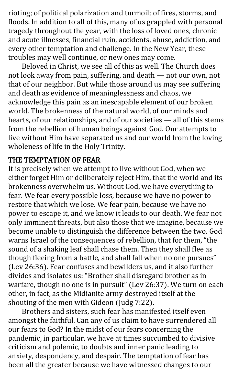rioting; of political polarization and turmoil; of fires, storms, and floods. In addition to all of this, many of us grappled with personal tragedy throughout the year, with the loss of loved ones, chronic and acute illnesses, financial ruin, accidents, abuse, addiction, and every other temptation and challenge. In the New Year, these troubles may well continue, or new ones may come.

Beloved in Christ, we see all of this as well. The Church does not look away from pain, suffering, and death — not our own, not that of our neighbor. But while those around us may see suffering and death as evidence of meaninglessness and chaos, we acknowledge this pain as an inescapable element of our broken world. The brokenness of the natural world, of our minds and hearts, of our relationships, and of our societies — all of this stems from the rebellion of human beings against God. Our attempts to live without Him have separated us and our world from the loving wholeness of life in the Holy Trinity.

#### THE TEMPTATION OF FEAR

It is precisely when we attempt to live without God, when we either forget Him or deliberately reject Him, that the world and its brokenness overwhelm us. Without God, we have everything to fear. We fear every possible loss, because we have no power to restore that which we lose. We fear pain, because we have no power to escape it, and we know it leads to our death. We fear not only imminent threats, but also those that we imagine, because we become unable to distinguish the difference between the two. God warns Israel of the consequences of rebellion, that for them, "the sound of a shaking leaf shall chase them. Then they shall flee as though fleeing from a battle, and shall fall when no one pursues" (Lev 26:36). Fear confuses and bewilders us, and it also further divides and isolates us: "Brother shall disregard brother as in warfare, though no one is in pursuit" (Lev 26:37). We turn on each other, in fact, as the Midianite army destroyed itself at the shouting of the men with Gideon (Judg 7:22).

Brothers and sisters, such fear has manifested itself even amongst the faithful. Can any of us claim to have surrendered all our fears to God? In the midst of our fears concerning the pandemic, in particular, we have at times succumbed to divisive criticism and polemic, to doubts and inner panic leading to anxiety, despondency, and despair. The temptation of fear has been all the greater because we have witnessed changes to our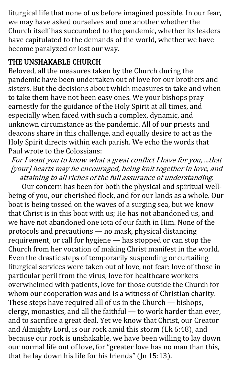liturgical life that none of us before imagined possible. In our fear, we may have asked ourselves and one another whether the Church itself has succumbed to the pandemic, whether its leaders have capitulated to the demands of the world, whether we have become paralyzed or lost our way.

#### THE UNSHAKABLE CHURCH

Beloved, all the measures taken by the Church during the pandemic have been undertaken out of love for our brothers and sisters. But the decisions about which measures to take and when to take them have not been easy ones. We your bishops pray earnestly for the guidance of the Holy Spirit at all times, and especially when faced with such a complex, dynamic, and unknown circumstance as the pandemic. All of our priests and deacons share in this challenge, and equally desire to act as the Holy Spirit directs within each parish. We echo the words that Paul wrote to the Colossians:

For I want you to know what a great conflict I have for you, ...that [your] hearts may be encouraged, being knit together in love, and attaining to all riches of the full assurance of understanding.

Our concern has been for both the physical and spiritual wellbeing of you, our cherished flock, and for our lands as a whole. Our boat is being tossed on the waves of a surging sea, but we know that Christ is in this boat with us; He has not abandoned us, and we have not abandoned one iota of our faith in Him. None of the protocols and precautions — no mask, physical distancing requirement, or call for hygiene — has stopped or can stop the Church from her vocation of making Christ manifest in the world. Even the drastic steps of temporarily suspending or curtailing liturgical services were taken out of love, not fear: love of those in particular peril from the virus, love for healthcare workers overwhelmed with patients, love for those outside the Church for whom our cooperation was and is a witness of Christian charity. These steps have required all of us in the Church — bishops, clergy, monastics, and all the faithful — to work harder than ever, and to sacrifice a great deal. Yet we know that Christ, our Creator and Almighty Lord, is our rock amid this storm (Lk 6:48), and because our rock is unshakable, we have been willing to lay down our normal life out of love, for "greater love has no man than this, that he lay down his life for his friends" (Jn 15:13).